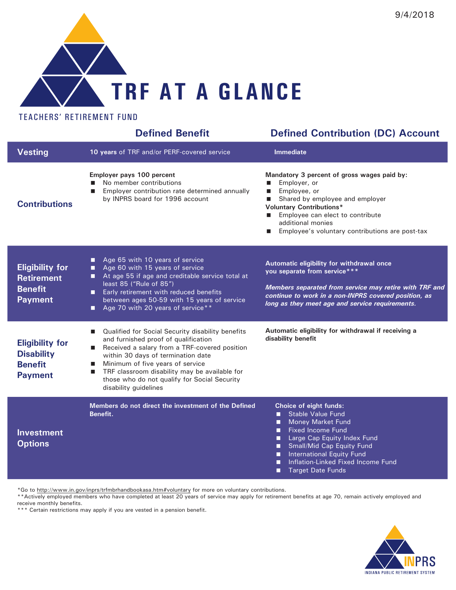

## TEACHERS' RETIREMENT FUND

|                                                                                 | <b>Defined Benefit</b>                                                                                                                                                                                                                                                                                                                                                            | <b>Defined Contribution (DC) Account</b>                                                                                                                                                                                                                                                                        |
|---------------------------------------------------------------------------------|-----------------------------------------------------------------------------------------------------------------------------------------------------------------------------------------------------------------------------------------------------------------------------------------------------------------------------------------------------------------------------------|-----------------------------------------------------------------------------------------------------------------------------------------------------------------------------------------------------------------------------------------------------------------------------------------------------------------|
| <b>Vesting</b>                                                                  | 10 years of TRF and/or PERF-covered service                                                                                                                                                                                                                                                                                                                                       | Immediate                                                                                                                                                                                                                                                                                                       |
| <b>Contributions</b>                                                            | Employer pays 100 percent<br>No member contributions<br>П<br>Employer contribution rate determined annually<br>П<br>by INPRS board for 1996 account                                                                                                                                                                                                                               | Mandatory 3 percent of gross wages paid by:<br>Employer, or<br>Employee, or<br>$\blacksquare$<br>Shared by employee and employer<br><b>Voluntary Contributions*</b><br>Employee can elect to contribute<br>additional monies<br>Employee's voluntary contributions are post-tax                                 |
| <b>Eligibility for</b><br><b>Retirement</b><br><b>Benefit</b><br><b>Payment</b> | Age 65 with 10 years of service<br>О<br>Age 60 with 15 years of service<br>□<br>At age 55 if age and creditable service total at<br>■<br>least 85 ("Rule of 85")<br>Early retirement with reduced benefits<br>◨<br>between ages 50-59 with 15 years of service<br>Age 70 with 20 years of service**<br>□                                                                          | Automatic eligibility for withdrawal once<br>you separate from service***<br>Members separated from service may retire with TRF and<br>continue to work in a non-INPRS covered position, as<br>long as they meet age and service requirements.                                                                  |
| <b>Eligibility for</b><br><b>Disability</b><br><b>Benefit</b><br><b>Payment</b> | Qualified for Social Security disability benefits<br>ш<br>and furnished proof of qualification<br>Received a salary from a TRF-covered position<br>a.<br>within 30 days of termination date<br>Minimum of five years of service<br>a.<br>TRF classroom disability may be available for<br><b>In the </b><br>those who do not qualify for Social Security<br>disability guidelines | Automatic eligibility for withdrawal if receiving a<br>disability benefit                                                                                                                                                                                                                                       |
| <b>Investment</b><br><b>Options</b>                                             | Members do not direct the investment of the Defined<br>Benefit.                                                                                                                                                                                                                                                                                                                   | Choice of eight funds:<br><b>Stable Value Fund</b><br><b>Money Market Fund</b><br>■<br><b>Fixed Income Fund</b><br>П<br>Large Cap Equity Index Fund<br>□<br><b>Small/Mid Cap Equity Fund</b><br>■<br>International Equity Fund<br>■<br>Inflation-Linked Fixed Income Fund<br>П<br><b>Target Date Funds</b><br>□ |

\*Go to http://www.in.gov/inprs/trfmbrhandbookasa.htm#voluntary for more on voluntary contributions.

\*\*Actively employed members who have completed at least 20 years of service may apply for retirement benefits at age 70, remain actively employed and receive monthly benefits.

\*\*\* Certain restrictions may apply if you are vested in a pension benefit.